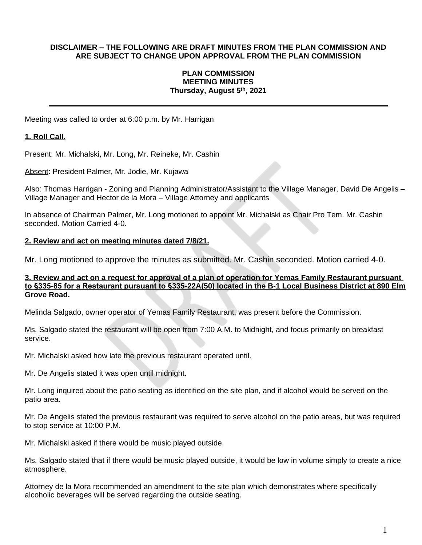### **DISCLAIMER – THE FOLLOWING ARE DRAFT MINUTES FROM THE PLAN COMMISSION AND ARE SUBJECT TO CHANGE UPON APPROVAL FROM THE PLAN COMMISSION**

### **PLAN COMMISSION MEETING MINUTES Thursday, August 5th , 2021**

Meeting was called to order at 6:00 p.m. by Mr. Harrigan

### **1. Roll Call.**

Present: Mr. Michalski, Mr. Long, Mr. Reineke, Mr. Cashin

Absent: President Palmer, Mr. Jodie, Mr. Kujawa

Also: Thomas Harrigan - Zoning and Planning Administrator/Assistant to the Village Manager, David De Angelis -Village Manager and Hector de la Mora – Village Attorney and applicants

In absence of Chairman Palmer, Mr. Long motioned to appoint Mr. Michalski as Chair Pro Tem. Mr. Cashin seconded. Motion Carried 4-0.

#### **2. Review and act on meeting minutes dated 7/8/21.**

Mr. Long motioned to approve the minutes as submitted. Mr. Cashin seconded. Motion carried 4-0.

#### **3. Review and act on a request for approval of a plan of operation for Yemas Family Restaurant pursuant to §335-85 for a Restaurant pursuant to §335-22A(50) located in the B-1 Local Business District at 890 Elm Grove Road.**

Melinda Salgado, owner operator of Yemas Family Restaurant, was present before the Commission.

Ms. Salgado stated the restaurant will be open from 7:00 A.M. to Midnight, and focus primarily on breakfast service.

Mr. Michalski asked how late the previous restaurant operated until.

Mr. De Angelis stated it was open until midnight.

Mr. Long inquired about the patio seating as identified on the site plan, and if alcohol would be served on the patio area.

Mr. De Angelis stated the previous restaurant was required to serve alcohol on the patio areas, but was required to stop service at 10:00 P.M.

Mr. Michalski asked if there would be music played outside.

Ms. Salgado stated that if there would be music played outside, it would be low in volume simply to create a nice atmosphere.

Attorney de la Mora recommended an amendment to the site plan which demonstrates where specifically alcoholic beverages will be served regarding the outside seating.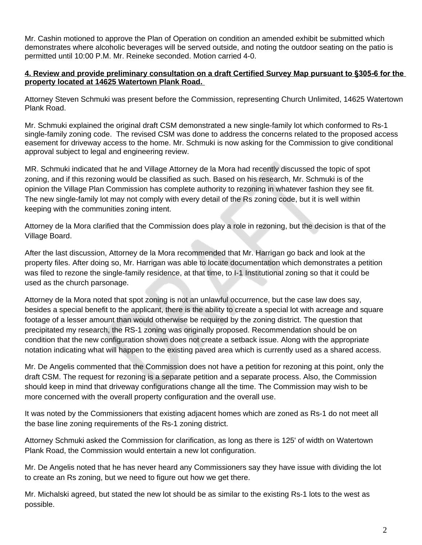Mr. Cashin motioned to approve the Plan of Operation on condition an amended exhibit be submitted which demonstrates where alcoholic beverages will be served outside, and noting the outdoor seating on the patio is permitted until 10:00 P.M. Mr. Reineke seconded. Motion carried 4-0.

## **4. Review and provide preliminary consultation on a draft Certified Survey Map pursuant to §305-6 for the property located at 14625 Watertown Plank Road.**

Attorney Steven Schmuki was present before the Commission, representing Church Unlimited, 14625 Watertown Plank Road.

Mr. Schmuki explained the original draft CSM demonstrated a new single-family lot which conformed to Rs-1 single-family zoning code. The revised CSM was done to address the concerns related to the proposed access easement for driveway access to the home. Mr. Schmuki is now asking for the Commission to give conditional approval subject to legal and engineering review.

MR. Schmuki indicated that he and Village Attorney de la Mora had recently discussed the topic of spot zoning, and if this rezoning would be classified as such. Based on his research, Mr. Schmuki is of the opinion the Village Plan Commission has complete authority to rezoning in whatever fashion they see fit. The new single-family lot may not comply with every detail of the Rs zoning code, but it is well within keeping with the communities zoning intent.

Attorney de la Mora clarified that the Commission does play a role in rezoning, but the decision is that of the Village Board.

After the last discussion, Attorney de la Mora recommended that Mr. Harrigan go back and look at the property files. After doing so, Mr. Harrigan was able to locate documentation which demonstrates a petition was filed to rezone the single-family residence, at that time, to I-1 Institutional zoning so that it could be used as the church parsonage.

Attorney de la Mora noted that spot zoning is not an unlawful occurrence, but the case law does say, besides a special benefit to the applicant, there is the ability to create a special lot with acreage and square footage of a lesser amount than would otherwise be required by the zoning district. The question that precipitated my research, the RS-1 zoning was originally proposed. Recommendation should be on condition that the new configuration shown does not create a setback issue. Along with the appropriate notation indicating what will happen to the existing paved area which is currently used as a shared access.

Mr. De Angelis commented that the Commission does not have a petition for rezoning at this point, only the draft CSM. The request for rezoning is a separate petition and a separate process. Also, the Commission should keep in mind that driveway configurations change all the time. The Commission may wish to be more concerned with the overall property configuration and the overall use.

It was noted by the Commissioners that existing adjacent homes which are zoned as Rs-1 do not meet all the base line zoning requirements of the Rs-1 zoning district.

Attorney Schmuki asked the Commission for clarification, as long as there is 125' of width on Watertown Plank Road, the Commission would entertain a new lot configuration.

Mr. De Angelis noted that he has never heard any Commissioners say they have issue with dividing the lot to create an Rs zoning, but we need to figure out how we get there.

Mr. Michalski agreed, but stated the new lot should be as similar to the existing Rs-1 lots to the west as possible.